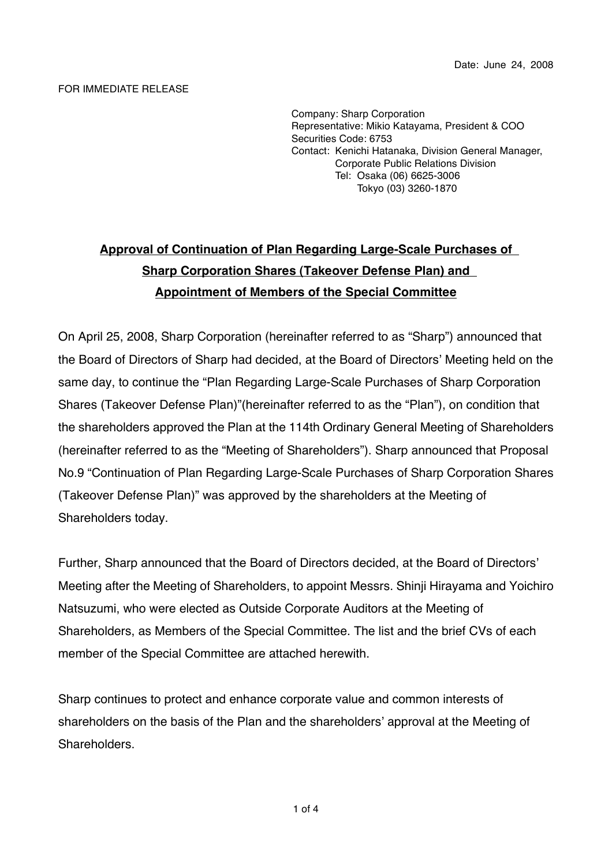## FOR IMMEDIATE RELEASE

Company: Sharp Corporation Representative: Mikio Katayama, President & COO Securities Code: 6753 Contact: Kenichi Hatanaka, Division General Manager, Corporate Public Relations Division Tel: Osaka (06) 6625-3006 Tokyo (03) 3260-1870

## **Approval of Continuation of Plan Regarding Large-Scale Purchases of Sharp Corporation Shares (Takeover Defense Plan) and Appointment of Members of the Special Committee**

On April 25, 2008, Sharp Corporation (hereinafter referred to as "Sharp") announced that the Board of Directors of Sharp had decided, at the Board of Directors' Meeting held on the same day, to continue the "Plan Regarding Large-Scale Purchases of Sharp Corporation Shares (Takeover Defense Plan)"(hereinafter referred to as the "Plan"), on condition that the shareholders approved the Plan at the 114th Ordinary General Meeting of Shareholders (hereinafter referred to as the "Meeting of Shareholders"). Sharp announced that Proposal No.9 "Continuation of Plan Regarding Large-Scale Purchases of Sharp Corporation Shares (Takeover Defense Plan)" was approved by the shareholders at the Meeting of Shareholders today.

Further, Sharp announced that the Board of Directors decided, at the Board of Directors' Meeting after the Meeting of Shareholders, to appoint Messrs. Shinji Hirayama and Yoichiro Natsuzumi, who were elected as Outside Corporate Auditors at the Meeting of Shareholders, as Members of the Special Committee. The list and the brief CVs of each member of the Special Committee are attached herewith.

Sharp continues to protect and enhance corporate value and common interests of shareholders on the basis of the Plan and the shareholders' approval at the Meeting of Shareholders.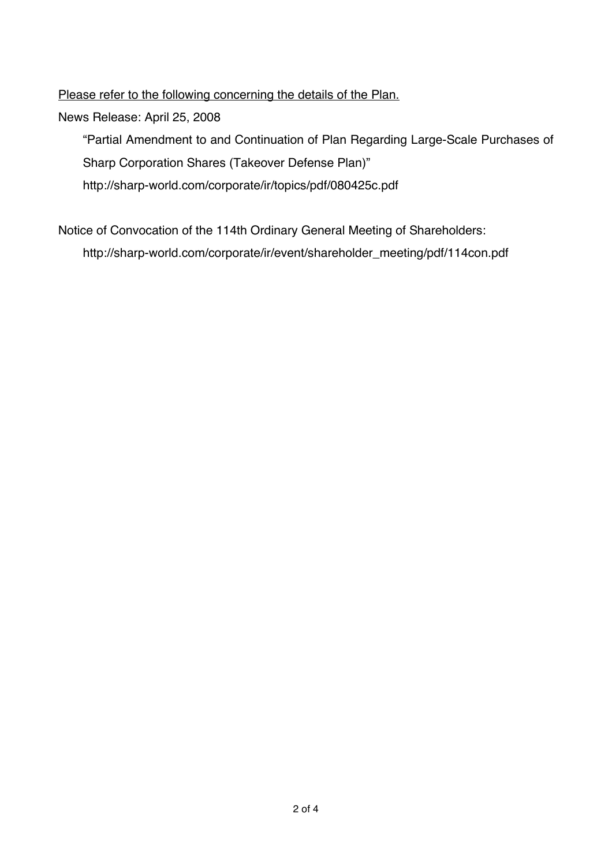Please refer to the following concerning the details of the Plan.

News Release: April 25, 2008

"Partial Amendment to and Continuation of Plan Regarding Large-Scale Purchases of Sharp Corporation Shares (Takeover Defense Plan)" http://sharp-world.com/corporate/ir/topics/pdf/080425c.pdf

Notice of Convocation of the 114th Ordinary General Meeting of Shareholders: http://sharp-world.com/corporate/ir/event/shareholder\_meeting/pdf/114con.pdf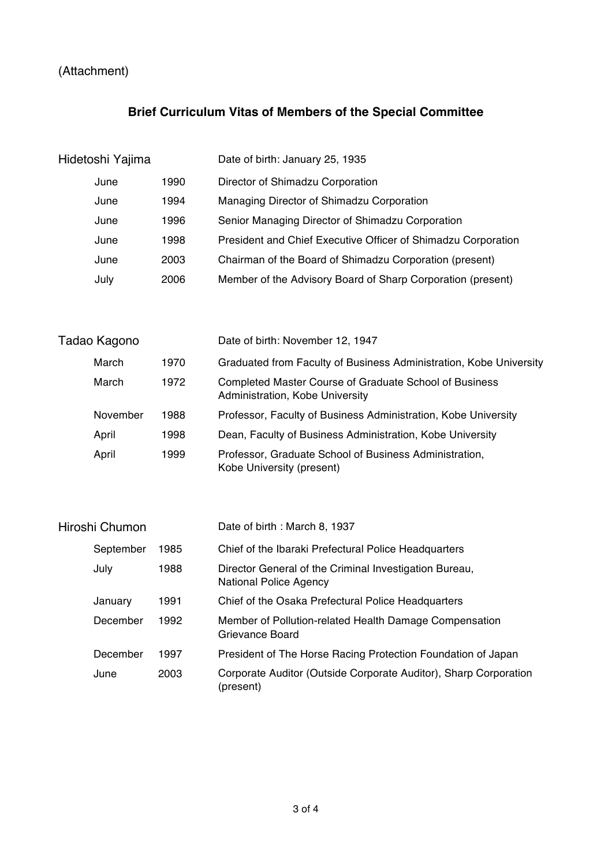## (Attachment)

## **Brief Curriculum Vitas of Members of the Special Committee**

| Hidetoshi Yajima |      | Date of birth: January 25, 1935                               |
|------------------|------|---------------------------------------------------------------|
| June             | 1990 | Director of Shimadzu Corporation                              |
| June             | 1994 | Managing Director of Shimadzu Corporation                     |
| June             | 1996 | Senior Managing Director of Shimadzu Corporation              |
| June             | 1998 | President and Chief Executive Officer of Shimadzu Corporation |
| June             | 2003 | Chairman of the Board of Shimadzu Corporation (present)       |
| July             | 2006 | Member of the Advisory Board of Sharp Corporation (present)   |

| Tadao Kagono |      | Date of birth: November 12, 1947                                                          |
|--------------|------|-------------------------------------------------------------------------------------------|
| March        | 1970 | Graduated from Faculty of Business Administration, Kobe University                        |
| March        | 1972 | Completed Master Course of Graduate School of Business<br>Administration, Kobe University |
| November     | 1988 | Professor, Faculty of Business Administration, Kobe University                            |
| April        | 1998 | Dean, Faculty of Business Administration, Kobe University                                 |
| April        | 1999 | Professor, Graduate School of Business Administration,<br>Kobe University (present)       |

| Hiroshi Chumon |      | Date of birth: March 8, 1937                                                            |
|----------------|------|-----------------------------------------------------------------------------------------|
| September      | 1985 | Chief of the Ibaraki Prefectural Police Headquarters                                    |
| July           | 1988 | Director General of the Criminal Investigation Bureau,<br><b>National Police Agency</b> |
| January        | 1991 | Chief of the Osaka Prefectural Police Headquarters                                      |
| December       | 1992 | Member of Pollution-related Health Damage Compensation<br>Grievance Board               |
| December       | 1997 | President of The Horse Racing Protection Foundation of Japan                            |
| June           | 2003 | Corporate Auditor (Outside Corporate Auditor), Sharp Corporation<br>(present)           |